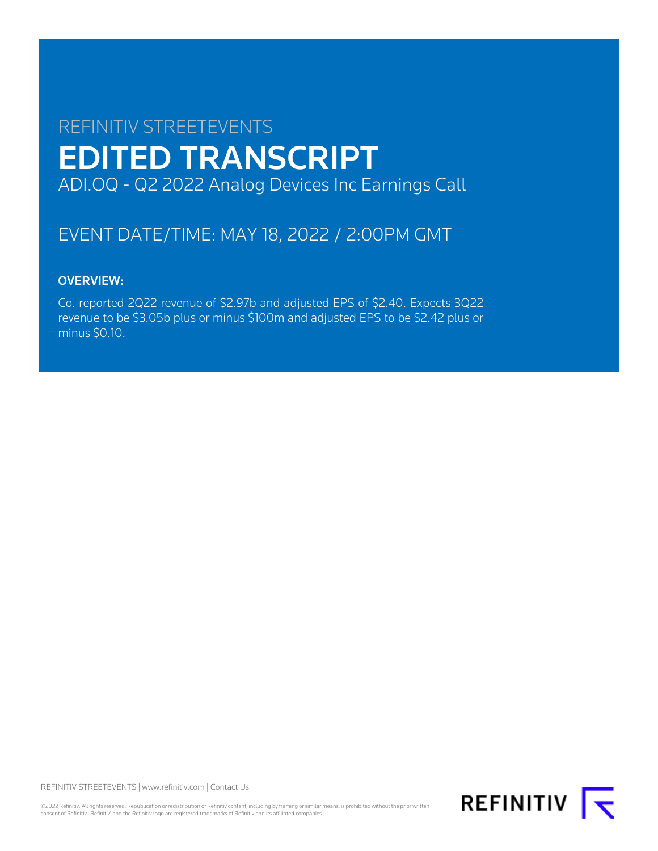# REFINITIV STREETEVENTS EDITED TRANSCRIPT ADI.OQ - Q2 2022 Analog Devices Inc Earnings Call

## EVENT DATE/TIME: MAY 18, 2022 / 2:00PM GMT

### OVERVIEW:

Co. reported 2Q22 revenue of \$2.97b and adjusted EPS of \$2.40. Expects 3Q22 revenue to be \$3.05b plus or minus \$100m and adjusted EPS to be \$2.42 plus or minus \$0.10.

REFINITIV STREETEVENTS | [www.refinitiv.com](https://www.refinitiv.com/) | [Contact Us](https://www.refinitiv.com/en/contact-us)

©2022 Refinitiv. All rights reserved. Republication or redistribution of Refinitiv content, including by framing or similar means, is prohibited without the prior written consent of Refinitiv. 'Refinitiv' and the Refinitiv logo are registered trademarks of Refinitiv and its affiliated companies.

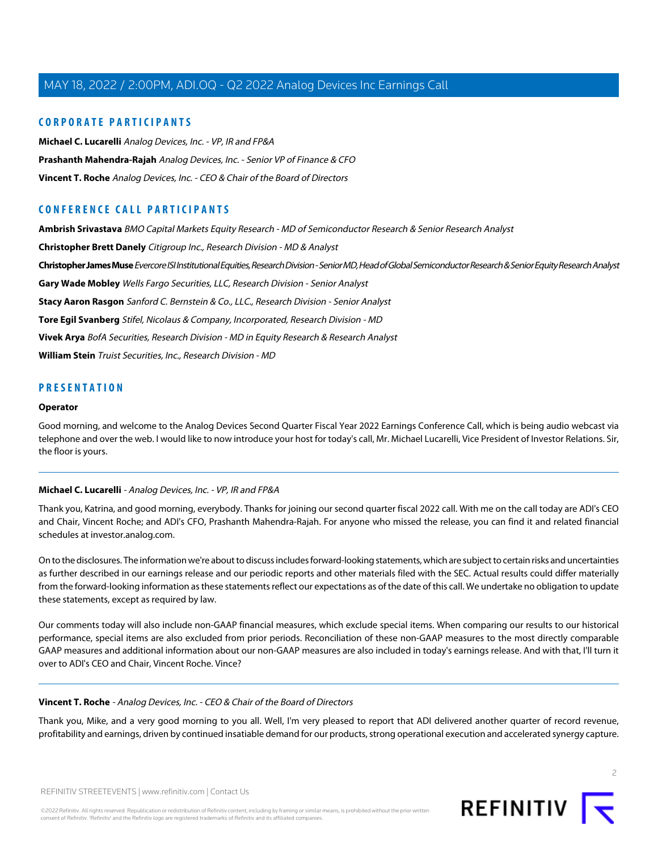### **CORPORATE PARTICIPANTS**

**[Michael C. Lucarelli](#page-1-0)** Analog Devices, Inc. - VP, IR and FP&A **[Prashanth Mahendra-Rajah](#page-3-0)** Analog Devices, Inc. - Senior VP of Finance & CFO **[Vincent T. Roche](#page-1-1)** Analog Devices, Inc. - CEO & Chair of the Board of Directors

### **CONFERENCE CALL PARTICIPANTS**

**[Ambrish Srivastava](#page-8-0)** BMO Capital Markets Equity Research - MD of Semiconductor Research & Senior Research Analyst **[Christopher Brett Danely](#page-9-0)** Citigroup Inc., Research Division - MD & Analyst **[Christopher James Muse](#page-7-0)** Evercore ISI Institutional Equities, Research Division - Senior MD, Head of Global Semiconductor Research & Senior Equity Research Analyst **[Gary Wade Mobley](#page-11-0)** Wells Fargo Securities, LLC, Research Division - Senior Analyst **[Stacy Aaron Rasgon](#page-5-0)** Sanford C. Bernstein & Co., LLC., Research Division - Senior Analyst **[Tore Egil Svanberg](#page-5-1)** Stifel, Nicolaus & Company, Incorporated, Research Division - MD **[Vivek Arya](#page-6-0)** BofA Securities, Research Division - MD in Equity Research & Research Analyst **[William Stein](#page-9-1)** Truist Securities, Inc., Research Division - MD

### **PRESENTATION**

#### **Operator**

<span id="page-1-0"></span>Good morning, and welcome to the Analog Devices Second Quarter Fiscal Year 2022 Earnings Conference Call, which is being audio webcast via telephone and over the web. I would like to now introduce your host for today's call, Mr. Michael Lucarelli, Vice President of Investor Relations. Sir, the floor is yours.

### **Michael C. Lucarelli** - Analog Devices, Inc. - VP, IR and FP&A

Thank you, Katrina, and good morning, everybody. Thanks for joining our second quarter fiscal 2022 call. With me on the call today are ADI's CEO and Chair, Vincent Roche; and ADI's CFO, Prashanth Mahendra-Rajah. For anyone who missed the release, you can find it and related financial schedules at investor.analog.com.

On to the disclosures. The information we're about to discuss includes forward-looking statements, which are subject to certain risks and uncertainties as further described in our earnings release and our periodic reports and other materials filed with the SEC. Actual results could differ materially from the forward-looking information as these statements reflect our expectations as of the date of this call. We undertake no obligation to update these statements, except as required by law.

<span id="page-1-1"></span>Our comments today will also include non-GAAP financial measures, which exclude special items. When comparing our results to our historical performance, special items are also excluded from prior periods. Reconciliation of these non-GAAP measures to the most directly comparable GAAP measures and additional information about our non-GAAP measures are also included in today's earnings release. And with that, I'll turn it over to ADI's CEO and Chair, Vincent Roche. Vince?

### **Vincent T. Roche** - Analog Devices, Inc. - CEO & Chair of the Board of Directors

Thank you, Mike, and a very good morning to you all. Well, I'm very pleased to report that ADI delivered another quarter of record revenue, profitability and earnings, driven by continued insatiable demand for our products, strong operational execution and accelerated synergy capture.

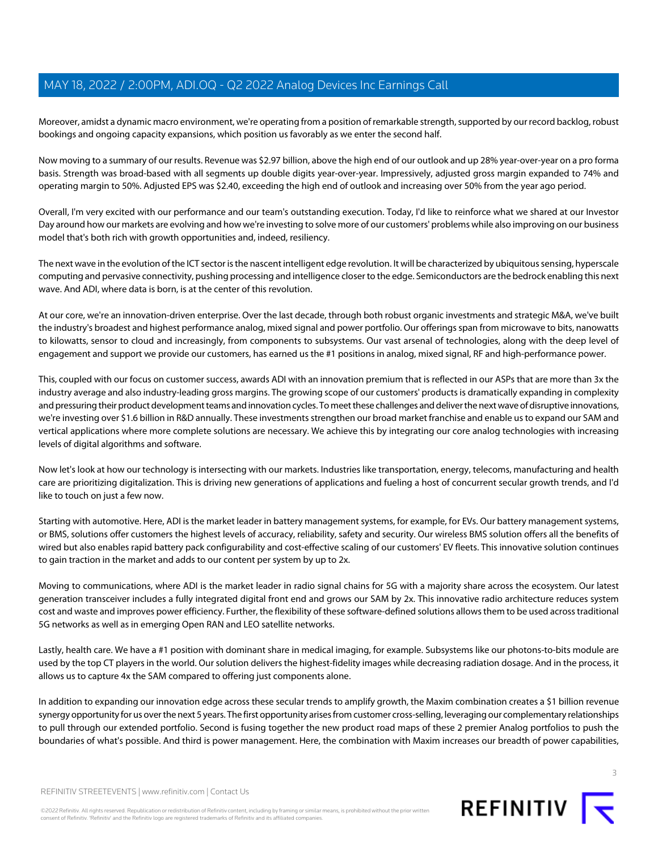Moreover, amidst a dynamic macro environment, we're operating from a position of remarkable strength, supported by our record backlog, robust bookings and ongoing capacity expansions, which position us favorably as we enter the second half.

Now moving to a summary of our results. Revenue was \$2.97 billion, above the high end of our outlook and up 28% year-over-year on a pro forma basis. Strength was broad-based with all segments up double digits year-over-year. Impressively, adjusted gross margin expanded to 74% and operating margin to 50%. Adjusted EPS was \$2.40, exceeding the high end of outlook and increasing over 50% from the year ago period.

Overall, I'm very excited with our performance and our team's outstanding execution. Today, I'd like to reinforce what we shared at our Investor Day around how our markets are evolving and how we're investing to solve more of our customers' problems while also improving on our business model that's both rich with growth opportunities and, indeed, resiliency.

The next wave in the evolution of the ICT sector is the nascent intelligent edge revolution. It will be characterized by ubiquitous sensing, hyperscale computing and pervasive connectivity, pushing processing and intelligence closer to the edge. Semiconductors are the bedrock enabling this next wave. And ADI, where data is born, is at the center of this revolution.

At our core, we're an innovation-driven enterprise. Over the last decade, through both robust organic investments and strategic M&A, we've built the industry's broadest and highest performance analog, mixed signal and power portfolio. Our offerings span from microwave to bits, nanowatts to kilowatts, sensor to cloud and increasingly, from components to subsystems. Our vast arsenal of technologies, along with the deep level of engagement and support we provide our customers, has earned us the #1 positions in analog, mixed signal, RF and high-performance power.

This, coupled with our focus on customer success, awards ADI with an innovation premium that is reflected in our ASPs that are more than 3x the industry average and also industry-leading gross margins. The growing scope of our customers' products is dramatically expanding in complexity and pressuring their product development teams and innovation cycles. To meet these challenges and deliver the next wave of disruptive innovations, we're investing over \$1.6 billion in R&D annually. These investments strengthen our broad market franchise and enable us to expand our SAM and vertical applications where more complete solutions are necessary. We achieve this by integrating our core analog technologies with increasing levels of digital algorithms and software.

Now let's look at how our technology is intersecting with our markets. Industries like transportation, energy, telecoms, manufacturing and health care are prioritizing digitalization. This is driving new generations of applications and fueling a host of concurrent secular growth trends, and I'd like to touch on just a few now.

Starting with automotive. Here, ADI is the market leader in battery management systems, for example, for EVs. Our battery management systems, or BMS, solutions offer customers the highest levels of accuracy, reliability, safety and security. Our wireless BMS solution offers all the benefits of wired but also enables rapid battery pack configurability and cost-effective scaling of our customers' EV fleets. This innovative solution continues to gain traction in the market and adds to our content per system by up to 2x.

Moving to communications, where ADI is the market leader in radio signal chains for 5G with a majority share across the ecosystem. Our latest generation transceiver includes a fully integrated digital front end and grows our SAM by 2x. This innovative radio architecture reduces system cost and waste and improves power efficiency. Further, the flexibility of these software-defined solutions allows them to be used across traditional 5G networks as well as in emerging Open RAN and LEO satellite networks.

Lastly, health care. We have a #1 position with dominant share in medical imaging, for example. Subsystems like our photons-to-bits module are used by the top CT players in the world. Our solution delivers the highest-fidelity images while decreasing radiation dosage. And in the process, it allows us to capture 4x the SAM compared to offering just components alone.

In addition to expanding our innovation edge across these secular trends to amplify growth, the Maxim combination creates a \$1 billion revenue synergy opportunity for us over the next 5 years. The first opportunity arises from customer cross-selling, leveraging our complementary relationships to pull through our extended portfolio. Second is fusing together the new product road maps of these 2 premier Analog portfolios to push the boundaries of what's possible. And third is power management. Here, the combination with Maxim increases our breadth of power capabilities,



©2022 Refinitiv. All rights reserved. Republication or redistribution of Refinitiv content, including by framing or similar means, is prohibited without the prior written consent of Refinitiv. 'Refinitiv' and the Refinitiv logo are registered trademarks of Refinitiv and its affiliated companies.

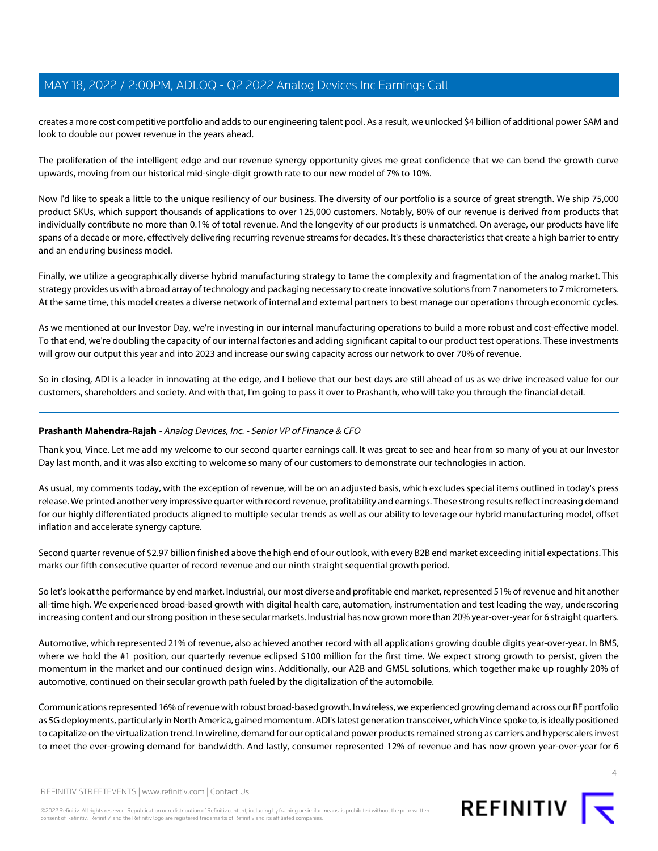creates a more cost competitive portfolio and adds to our engineering talent pool. As a result, we unlocked \$4 billion of additional power SAM and look to double our power revenue in the years ahead.

The proliferation of the intelligent edge and our revenue synergy opportunity gives me great confidence that we can bend the growth curve upwards, moving from our historical mid-single-digit growth rate to our new model of 7% to 10%.

Now I'd like to speak a little to the unique resiliency of our business. The diversity of our portfolio is a source of great strength. We ship 75,000 product SKUs, which support thousands of applications to over 125,000 customers. Notably, 80% of our revenue is derived from products that individually contribute no more than 0.1% of total revenue. And the longevity of our products is unmatched. On average, our products have life spans of a decade or more, effectively delivering recurring revenue streams for decades. It's these characteristics that create a high barrier to entry and an enduring business model.

Finally, we utilize a geographically diverse hybrid manufacturing strategy to tame the complexity and fragmentation of the analog market. This strategy provides us with a broad array of technology and packaging necessary to create innovative solutions from 7 nanometers to 7 micrometers. At the same time, this model creates a diverse network of internal and external partners to best manage our operations through economic cycles.

As we mentioned at our Investor Day, we're investing in our internal manufacturing operations to build a more robust and cost-effective model. To that end, we're doubling the capacity of our internal factories and adding significant capital to our product test operations. These investments will grow our output this year and into 2023 and increase our swing capacity across our network to over 70% of revenue.

<span id="page-3-0"></span>So in closing, ADI is a leader in innovating at the edge, and I believe that our best days are still ahead of us as we drive increased value for our customers, shareholders and society. And with that, I'm going to pass it over to Prashanth, who will take you through the financial detail.

### **Prashanth Mahendra-Rajah** - Analog Devices, Inc. - Senior VP of Finance & CFO

Thank you, Vince. Let me add my welcome to our second quarter earnings call. It was great to see and hear from so many of you at our Investor Day last month, and it was also exciting to welcome so many of our customers to demonstrate our technologies in action.

As usual, my comments today, with the exception of revenue, will be on an adjusted basis, which excludes special items outlined in today's press release. We printed another very impressive quarter with record revenue, profitability and earnings. These strong results reflect increasing demand for our highly differentiated products aligned to multiple secular trends as well as our ability to leverage our hybrid manufacturing model, offset inflation and accelerate synergy capture.

Second quarter revenue of \$2.97 billion finished above the high end of our outlook, with every B2B end market exceeding initial expectations. This marks our fifth consecutive quarter of record revenue and our ninth straight sequential growth period.

So let's look at the performance by end market. Industrial, our most diverse and profitable end market, represented 51% of revenue and hit another all-time high. We experienced broad-based growth with digital health care, automation, instrumentation and test leading the way, underscoring increasing content and our strong position in these secular markets. Industrial has now grown more than 20% year-over-year for 6 straight quarters.

Automotive, which represented 21% of revenue, also achieved another record with all applications growing double digits year-over-year. In BMS, where we hold the #1 position, our quarterly revenue eclipsed \$100 million for the first time. We expect strong growth to persist, given the momentum in the market and our continued design wins. Additionally, our A2B and GMSL solutions, which together make up roughly 20% of automotive, continued on their secular growth path fueled by the digitalization of the automobile.

Communications represented 16% of revenue with robust broad-based growth. In wireless, we experienced growing demand across our RF portfolio as 5G deployments, particularly in North America, gained momentum. ADI's latest generation transceiver, which Vince spoke to, is ideally positioned to capitalize on the virtualization trend. In wireline, demand for our optical and power products remained strong as carriers and hyperscalers invest to meet the ever-growing demand for bandwidth. And lastly, consumer represented 12% of revenue and has now grown year-over-year for 6



REFINITIV STREETEVENTS | [www.refinitiv.com](https://www.refinitiv.com/) | [Contact Us](https://www.refinitiv.com/en/contact-us)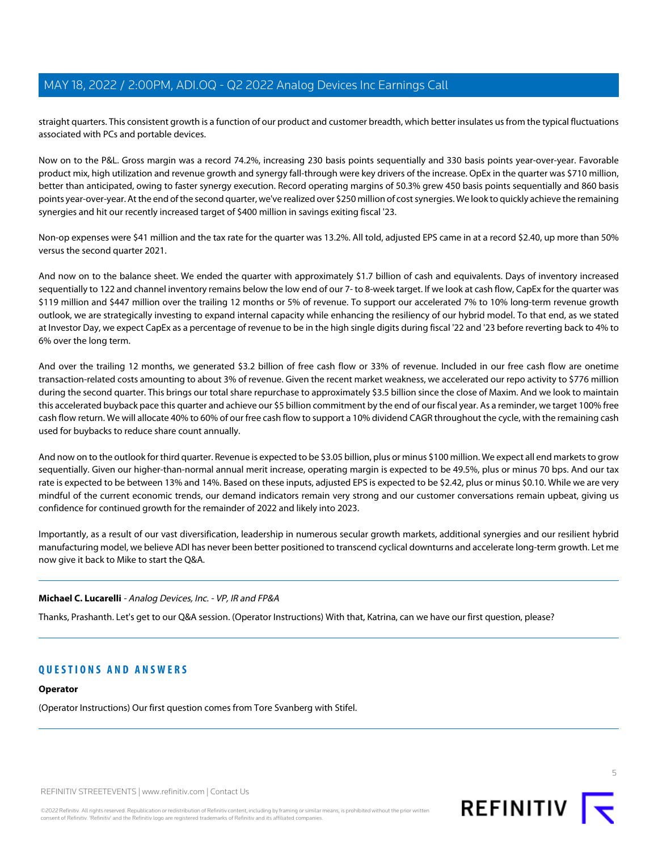straight quarters. This consistent growth is a function of our product and customer breadth, which better insulates us from the typical fluctuations associated with PCs and portable devices.

Now on to the P&L. Gross margin was a record 74.2%, increasing 230 basis points sequentially and 330 basis points year-over-year. Favorable product mix, high utilization and revenue growth and synergy fall-through were key drivers of the increase. OpEx in the quarter was \$710 million, better than anticipated, owing to faster synergy execution. Record operating margins of 50.3% grew 450 basis points sequentially and 860 basis points year-over-year. At the end of the second quarter, we've realized over \$250 million of cost synergies. We look to quickly achieve the remaining synergies and hit our recently increased target of \$400 million in savings exiting fiscal '23.

Non-op expenses were \$41 million and the tax rate for the quarter was 13.2%. All told, adjusted EPS came in at a record \$2.40, up more than 50% versus the second quarter 2021.

And now on to the balance sheet. We ended the quarter with approximately \$1.7 billion of cash and equivalents. Days of inventory increased sequentially to 122 and channel inventory remains below the low end of our 7-to 8-week target. If we look at cash flow, CapEx for the quarter was \$119 million and \$447 million over the trailing 12 months or 5% of revenue. To support our accelerated 7% to 10% long-term revenue growth outlook, we are strategically investing to expand internal capacity while enhancing the resiliency of our hybrid model. To that end, as we stated at Investor Day, we expect CapEx as a percentage of revenue to be in the high single digits during fiscal '22 and '23 before reverting back to 4% to 6% over the long term.

And over the trailing 12 months, we generated \$3.2 billion of free cash flow or 33% of revenue. Included in our free cash flow are onetime transaction-related costs amounting to about 3% of revenue. Given the recent market weakness, we accelerated our repo activity to \$776 million during the second quarter. This brings our total share repurchase to approximately \$3.5 billion since the close of Maxim. And we look to maintain this accelerated buyback pace this quarter and achieve our \$5 billion commitment by the end of our fiscal year. As a reminder, we target 100% free cash flow return. We will allocate 40% to 60% of our free cash flow to support a 10% dividend CAGR throughout the cycle, with the remaining cash used for buybacks to reduce share count annually.

And now on to the outlook for third quarter. Revenue is expected to be \$3.05 billion, plus or minus \$100 million. We expect all end markets to grow sequentially. Given our higher-than-normal annual merit increase, operating margin is expected to be 49.5%, plus or minus 70 bps. And our tax rate is expected to be between 13% and 14%. Based on these inputs, adjusted EPS is expected to be \$2.42, plus or minus \$0.10. While we are very mindful of the current economic trends, our demand indicators remain very strong and our customer conversations remain upbeat, giving us confidence for continued growth for the remainder of 2022 and likely into 2023.

Importantly, as a result of our vast diversification, leadership in numerous secular growth markets, additional synergies and our resilient hybrid manufacturing model, we believe ADI has never been better positioned to transcend cyclical downturns and accelerate long-term growth. Let me now give it back to Mike to start the Q&A.

### **Michael C. Lucarelli** - Analog Devices, Inc. - VP, IR and FP&A

Thanks, Prashanth. Let's get to our Q&A session. (Operator Instructions) With that, Katrina, can we have our first question, please?

### **QUESTIONS AND ANSWERS**

### **Operator**

(Operator Instructions) Our first question comes from Tore Svanberg with Stifel.

REFINITIV STREETEVENTS | [www.refinitiv.com](https://www.refinitiv.com/) | [Contact Us](https://www.refinitiv.com/en/contact-us)



5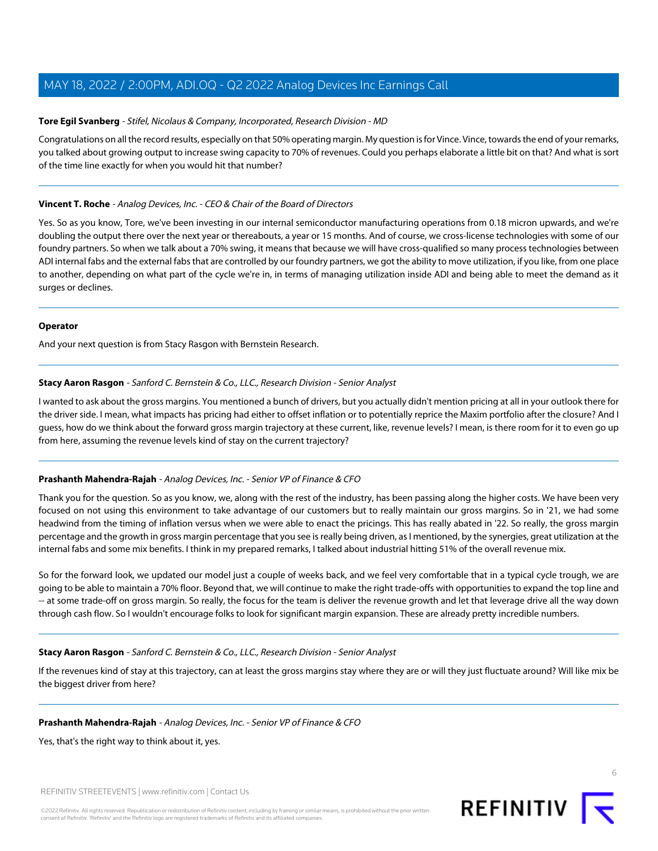### <span id="page-5-1"></span>**Tore Egil Svanberg** - Stifel, Nicolaus & Company, Incorporated, Research Division - MD

Congratulations on all the record results, especially on that 50% operating margin. My question is for Vince. Vince, towards the end of your remarks, you talked about growing output to increase swing capacity to 70% of revenues. Could you perhaps elaborate a little bit on that? And what is sort of the time line exactly for when you would hit that number?

### **Vincent T. Roche** - Analog Devices, Inc. - CEO & Chair of the Board of Directors

Yes. So as you know, Tore, we've been investing in our internal semiconductor manufacturing operations from 0.18 micron upwards, and we're doubling the output there over the next year or thereabouts, a year or 15 months. And of course, we cross-license technologies with some of our foundry partners. So when we talk about a 70% swing, it means that because we will have cross-qualified so many process technologies between ADI internal fabs and the external fabs that are controlled by our foundry partners, we got the ability to move utilization, if you like, from one place to another, depending on what part of the cycle we're in, in terms of managing utilization inside ADI and being able to meet the demand as it surges or declines.

#### **Operator**

<span id="page-5-0"></span>And your next question is from Stacy Rasgon with Bernstein Research.

### **Stacy Aaron Rasgon** - Sanford C. Bernstein & Co., LLC., Research Division - Senior Analyst

I wanted to ask about the gross margins. You mentioned a bunch of drivers, but you actually didn't mention pricing at all in your outlook there for the driver side. I mean, what impacts has pricing had either to offset inflation or to potentially reprice the Maxim portfolio after the closure? And I guess, how do we think about the forward gross margin trajectory at these current, like, revenue levels? I mean, is there room for it to even go up from here, assuming the revenue levels kind of stay on the current trajectory?

### **Prashanth Mahendra-Rajah** - Analog Devices, Inc. - Senior VP of Finance & CFO

Thank you for the question. So as you know, we, along with the rest of the industry, has been passing along the higher costs. We have been very focused on not using this environment to take advantage of our customers but to really maintain our gross margins. So in '21, we had some headwind from the timing of inflation versus when we were able to enact the pricings. This has really abated in '22. So really, the gross margin percentage and the growth in gross margin percentage that you see is really being driven, as I mentioned, by the synergies, great utilization at the internal fabs and some mix benefits. I think in my prepared remarks, I talked about industrial hitting 51% of the overall revenue mix.

So for the forward look, we updated our model just a couple of weeks back, and we feel very comfortable that in a typical cycle trough, we are going to be able to maintain a 70% floor. Beyond that, we will continue to make the right trade-offs with opportunities to expand the top line and -- at some trade-off on gross margin. So really, the focus for the team is deliver the revenue growth and let that leverage drive all the way down through cash flow. So I wouldn't encourage folks to look for significant margin expansion. These are already pretty incredible numbers.

#### **Stacy Aaron Rasgon** - Sanford C. Bernstein & Co., LLC., Research Division - Senior Analyst

If the revenues kind of stay at this trajectory, can at least the gross margins stay where they are or will they just fluctuate around? Will like mix be the biggest driver from here?

#### **Prashanth Mahendra-Rajah** - Analog Devices, Inc. - Senior VP of Finance & CFO

Yes, that's the right way to think about it, yes.

REFINITIV STREETEVENTS | [www.refinitiv.com](https://www.refinitiv.com/) | [Contact Us](https://www.refinitiv.com/en/contact-us)



6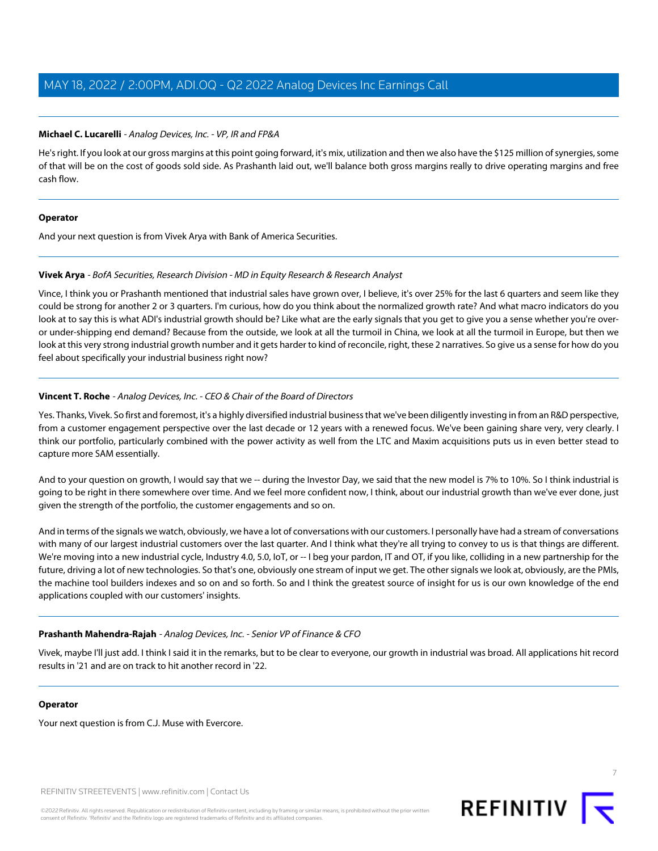### **Michael C. Lucarelli** - Analog Devices, Inc. - VP, IR and FP&A

He's right. If you look at our gross margins at this point going forward, it's mix, utilization and then we also have the \$125 million of synergies, some of that will be on the cost of goods sold side. As Prashanth laid out, we'll balance both gross margins really to drive operating margins and free cash flow.

### **Operator**

<span id="page-6-0"></span>And your next question is from Vivek Arya with Bank of America Securities.

### **Vivek Arya** - BofA Securities, Research Division - MD in Equity Research & Research Analyst

Vince, I think you or Prashanth mentioned that industrial sales have grown over, I believe, it's over 25% for the last 6 quarters and seem like they could be strong for another 2 or 3 quarters. I'm curious, how do you think about the normalized growth rate? And what macro indicators do you look at to say this is what ADI's industrial growth should be? Like what are the early signals that you get to give you a sense whether you're overor under-shipping end demand? Because from the outside, we look at all the turmoil in China, we look at all the turmoil in Europe, but then we look at this very strong industrial growth number and it gets harder to kind of reconcile, right, these 2 narratives. So give us a sense for how do you feel about specifically your industrial business right now?

### **Vincent T. Roche** - Analog Devices, Inc. - CEO & Chair of the Board of Directors

Yes. Thanks, Vivek. So first and foremost, it's a highly diversified industrial business that we've been diligently investing in from an R&D perspective, from a customer engagement perspective over the last decade or 12 years with a renewed focus. We've been gaining share very, very clearly. I think our portfolio, particularly combined with the power activity as well from the LTC and Maxim acquisitions puts us in even better stead to capture more SAM essentially.

And to your question on growth, I would say that we -- during the Investor Day, we said that the new model is 7% to 10%. So I think industrial is going to be right in there somewhere over time. And we feel more confident now, I think, about our industrial growth than we've ever done, just given the strength of the portfolio, the customer engagements and so on.

And in terms of the signals we watch, obviously, we have a lot of conversations with our customers. I personally have had a stream of conversations with many of our largest industrial customers over the last quarter. And I think what they're all trying to convey to us is that things are different. We're moving into a new industrial cycle, Industry 4.0, 5.0, IoT, or -- I beg your pardon, IT and OT, if you like, colliding in a new partnership for the future, driving a lot of new technologies. So that's one, obviously one stream of input we get. The other signals we look at, obviously, are the PMIs, the machine tool builders indexes and so on and so forth. So and I think the greatest source of insight for us is our own knowledge of the end applications coupled with our customers' insights.

### **Prashanth Mahendra-Rajah** - Analog Devices, Inc. - Senior VP of Finance & CFO

Vivek, maybe I'll just add. I think I said it in the remarks, but to be clear to everyone, our growth in industrial was broad. All applications hit record results in '21 and are on track to hit another record in '22.

#### **Operator**

Your next question is from C.J. Muse with Evercore.

REFINITIV STREETEVENTS | [www.refinitiv.com](https://www.refinitiv.com/) | [Contact Us](https://www.refinitiv.com/en/contact-us)

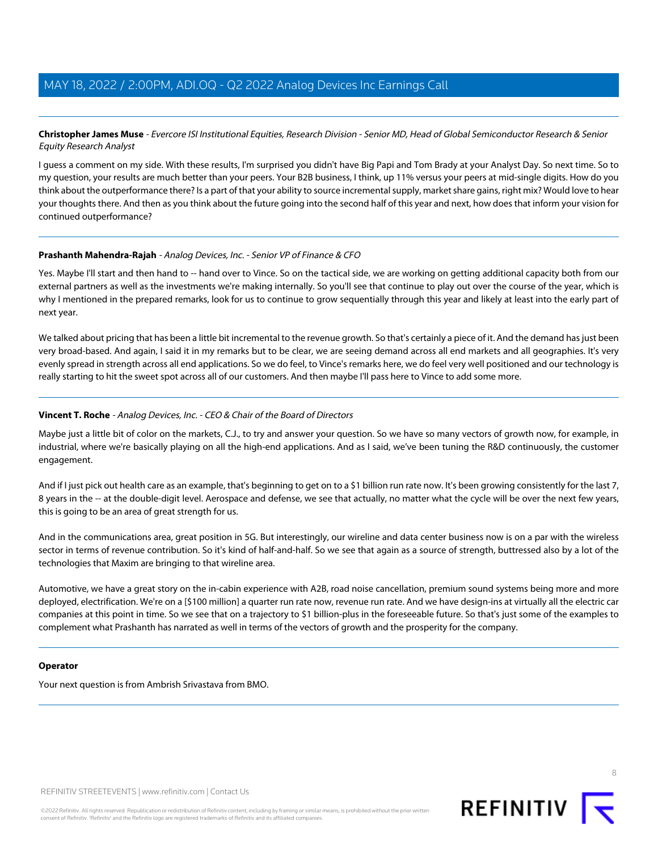### <span id="page-7-0"></span>**Christopher James Muse** - Evercore ISI Institutional Equities, Research Division - Senior MD, Head of Global Semiconductor Research & Senior Equity Research Analyst

I guess a comment on my side. With these results, I'm surprised you didn't have Big Papi and Tom Brady at your Analyst Day. So next time. So to my question, your results are much better than your peers. Your B2B business, I think, up 11% versus your peers at mid-single digits. How do you think about the outperformance there? Is a part of that your ability to source incremental supply, market share gains, right mix? Would love to hear your thoughts there. And then as you think about the future going into the second half of this year and next, how does that inform your vision for continued outperformance?

### **Prashanth Mahendra-Rajah** - Analog Devices, Inc. - Senior VP of Finance & CFO

Yes. Maybe I'll start and then hand to -- hand over to Vince. So on the tactical side, we are working on getting additional capacity both from our external partners as well as the investments we're making internally. So you'll see that continue to play out over the course of the year, which is why I mentioned in the prepared remarks, look for us to continue to grow sequentially through this year and likely at least into the early part of next year.

We talked about pricing that has been a little bit incremental to the revenue growth. So that's certainly a piece of it. And the demand has just been very broad-based. And again, I said it in my remarks but to be clear, we are seeing demand across all end markets and all geographies. It's very evenly spread in strength across all end applications. So we do feel, to Vince's remarks here, we do feel very well positioned and our technology is really starting to hit the sweet spot across all of our customers. And then maybe I'll pass here to Vince to add some more.

### **Vincent T. Roche** - Analog Devices, Inc. - CEO & Chair of the Board of Directors

Maybe just a little bit of color on the markets, C.J., to try and answer your question. So we have so many vectors of growth now, for example, in industrial, where we're basically playing on all the high-end applications. And as I said, we've been tuning the R&D continuously, the customer engagement.

And if I just pick out health care as an example, that's beginning to get on to a \$1 billion run rate now. It's been growing consistently for the last 7, 8 years in the -- at the double-digit level. Aerospace and defense, we see that actually, no matter what the cycle will be over the next few years, this is going to be an area of great strength for us.

And in the communications area, great position in 5G. But interestingly, our wireline and data center business now is on a par with the wireless sector in terms of revenue contribution. So it's kind of half-and-half. So we see that again as a source of strength, buttressed also by a lot of the technologies that Maxim are bringing to that wireline area.

Automotive, we have a great story on the in-cabin experience with A2B, road noise cancellation, premium sound systems being more and more deployed, electrification. We're on a [\$100 million] a quarter run rate now, revenue run rate. And we have design-ins at virtually all the electric car companies at this point in time. So we see that on a trajectory to \$1 billion-plus in the foreseeable future. So that's just some of the examples to complement what Prashanth has narrated as well in terms of the vectors of growth and the prosperity for the company.

### **Operator**

Your next question is from Ambrish Srivastava from BMO.

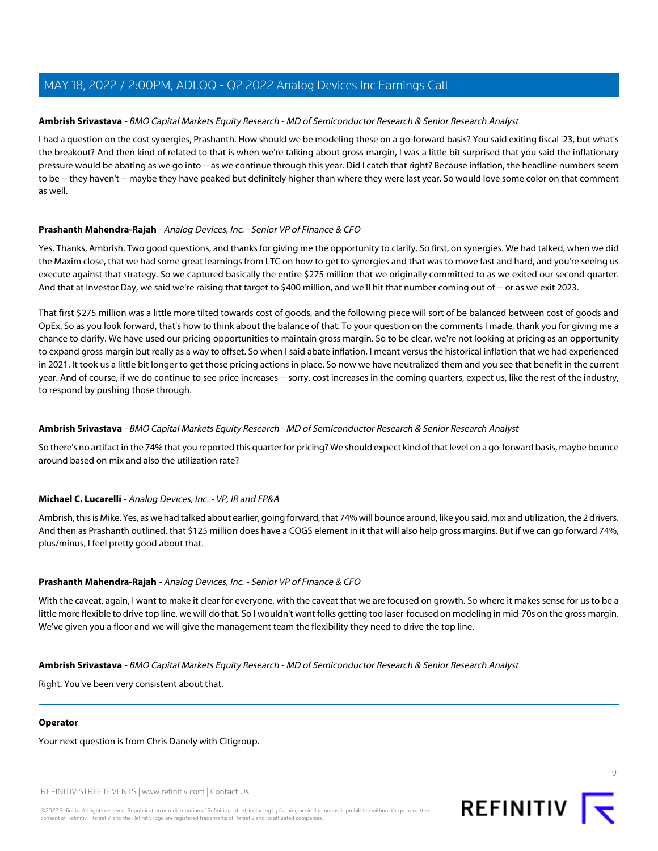### <span id="page-8-0"></span>**Ambrish Srivastava** - BMO Capital Markets Equity Research - MD of Semiconductor Research & Senior Research Analyst

I had a question on the cost synergies, Prashanth. How should we be modeling these on a go-forward basis? You said exiting fiscal '23, but what's the breakout? And then kind of related to that is when we're talking about gross margin, I was a little bit surprised that you said the inflationary pressure would be abating as we go into -- as we continue through this year. Did I catch that right? Because inflation, the headline numbers seem to be -- they haven't -- maybe they have peaked but definitely higher than where they were last year. So would love some color on that comment as well.

### **Prashanth Mahendra-Rajah** - Analog Devices, Inc. - Senior VP of Finance & CFO

Yes. Thanks, Ambrish. Two good questions, and thanks for giving me the opportunity to clarify. So first, on synergies. We had talked, when we did the Maxim close, that we had some great learnings from LTC on how to get to synergies and that was to move fast and hard, and you're seeing us execute against that strategy. So we captured basically the entire \$275 million that we originally committed to as we exited our second quarter. And that at Investor Day, we said we're raising that target to \$400 million, and we'll hit that number coming out of -- or as we exit 2023.

That first \$275 million was a little more tilted towards cost of goods, and the following piece will sort of be balanced between cost of goods and OpEx. So as you look forward, that's how to think about the balance of that. To your question on the comments I made, thank you for giving me a chance to clarify. We have used our pricing opportunities to maintain gross margin. So to be clear, we're not looking at pricing as an opportunity to expand gross margin but really as a way to offset. So when I said abate inflation, I meant versus the historical inflation that we had experienced in 2021. It took us a little bit longer to get those pricing actions in place. So now we have neutralized them and you see that benefit in the current year. And of course, if we do continue to see price increases -- sorry, cost increases in the coming quarters, expect us, like the rest of the industry, to respond by pushing those through.

### **Ambrish Srivastava** - BMO Capital Markets Equity Research - MD of Semiconductor Research & Senior Research Analyst

So there's no artifact in the 74% that you reported this quarter for pricing? We should expect kind of that level on a go-forward basis, maybe bounce around based on mix and also the utilization rate?

### **Michael C. Lucarelli** - Analog Devices, Inc. - VP, IR and FP&A

Ambrish, this is Mike. Yes, as we had talked about earlier, going forward, that 74% will bounce around, like you said, mix and utilization, the 2 drivers. And then as Prashanth outlined, that \$125 million does have a COGS element in it that will also help gross margins. But if we can go forward 74%, plus/minus, I feel pretty good about that.

### **Prashanth Mahendra-Rajah** - Analog Devices, Inc. - Senior VP of Finance & CFO

With the caveat, again, I want to make it clear for everyone, with the caveat that we are focused on growth. So where it makes sense for us to be a little more flexible to drive top line, we will do that. So I wouldn't want folks getting too laser-focused on modeling in mid-70s on the gross margin. We've given you a floor and we will give the management team the flexibility they need to drive the top line.

### **Ambrish Srivastava** - BMO Capital Markets Equity Research - MD of Semiconductor Research & Senior Research Analyst

Right. You've been very consistent about that.

### **Operator**

Your next question is from Chris Danely with Citigroup.

REFINITIV STREETEVENTS | [www.refinitiv.com](https://www.refinitiv.com/) | [Contact Us](https://www.refinitiv.com/en/contact-us)

©2022 Refinitiv. All rights reserved. Republication or redistribution of Refinitiv content, including by framing or similar means, is prohibited without the prior written consent of Refinitiv. 'Refinitiv' and the Refinitiv logo are registered trademarks of Refinitiv and its affiliated companies.

 $\circ$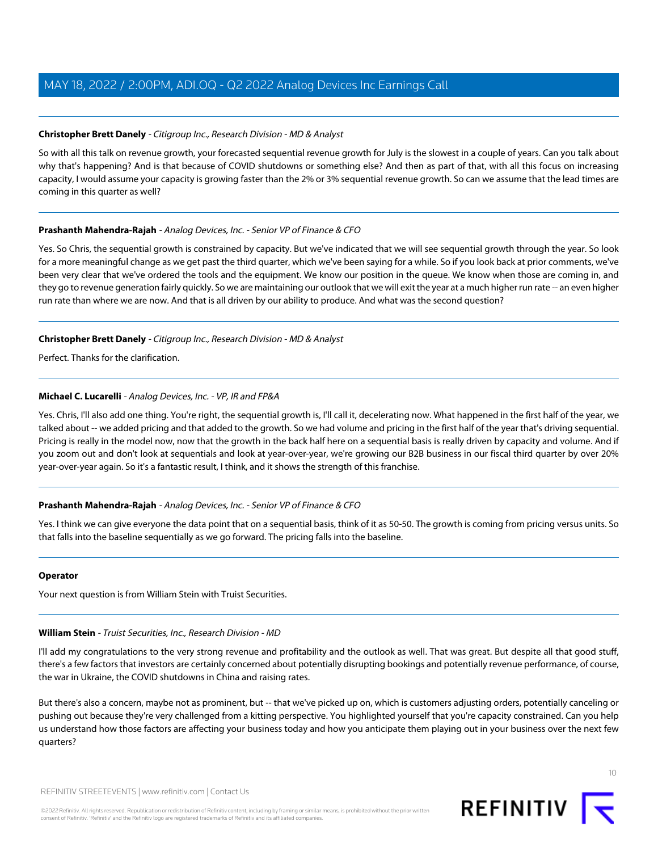### <span id="page-9-0"></span>**Christopher Brett Danely** - Citigroup Inc., Research Division - MD & Analyst

So with all this talk on revenue growth, your forecasted sequential revenue growth for July is the slowest in a couple of years. Can you talk about why that's happening? And is that because of COVID shutdowns or something else? And then as part of that, with all this focus on increasing capacity, I would assume your capacity is growing faster than the 2% or 3% sequential revenue growth. So can we assume that the lead times are coming in this quarter as well?

### **Prashanth Mahendra-Rajah** - Analog Devices, Inc. - Senior VP of Finance & CFO

Yes. So Chris, the sequential growth is constrained by capacity. But we've indicated that we will see sequential growth through the year. So look for a more meaningful change as we get past the third quarter, which we've been saying for a while. So if you look back at prior comments, we've been very clear that we've ordered the tools and the equipment. We know our position in the queue. We know when those are coming in, and they go to revenue generation fairly quickly. So we are maintaining our outlook that we will exit the year at a much higher run rate -- an even higher run rate than where we are now. And that is all driven by our ability to produce. And what was the second question?

### **Christopher Brett Danely** - Citigroup Inc., Research Division - MD & Analyst

Perfect. Thanks for the clarification.

### **Michael C. Lucarelli** - Analog Devices, Inc. - VP, IR and FP&A

Yes. Chris, I'll also add one thing. You're right, the sequential growth is, I'll call it, decelerating now. What happened in the first half of the year, we talked about -- we added pricing and that added to the growth. So we had volume and pricing in the first half of the year that's driving sequential. Pricing is really in the model now, now that the growth in the back half here on a sequential basis is really driven by capacity and volume. And if you zoom out and don't look at sequentials and look at year-over-year, we're growing our B2B business in our fiscal third quarter by over 20% year-over-year again. So it's a fantastic result, I think, and it shows the strength of this franchise.

### **Prashanth Mahendra-Rajah** - Analog Devices, Inc. - Senior VP of Finance & CFO

Yes. I think we can give everyone the data point that on a sequential basis, think of it as 50-50. The growth is coming from pricing versus units. So that falls into the baseline sequentially as we go forward. The pricing falls into the baseline.

### <span id="page-9-1"></span>**Operator**

Your next question is from William Stein with Truist Securities.

### **William Stein** - Truist Securities, Inc., Research Division - MD

I'll add my congratulations to the very strong revenue and profitability and the outlook as well. That was great. But despite all that good stuff, there's a few factors that investors are certainly concerned about potentially disrupting bookings and potentially revenue performance, of course, the war in Ukraine, the COVID shutdowns in China and raising rates.

But there's also a concern, maybe not as prominent, but -- that we've picked up on, which is customers adjusting orders, potentially canceling or pushing out because they're very challenged from a kitting perspective. You highlighted yourself that you're capacity constrained. Can you help us understand how those factors are affecting your business today and how you anticipate them playing out in your business over the next few quarters?

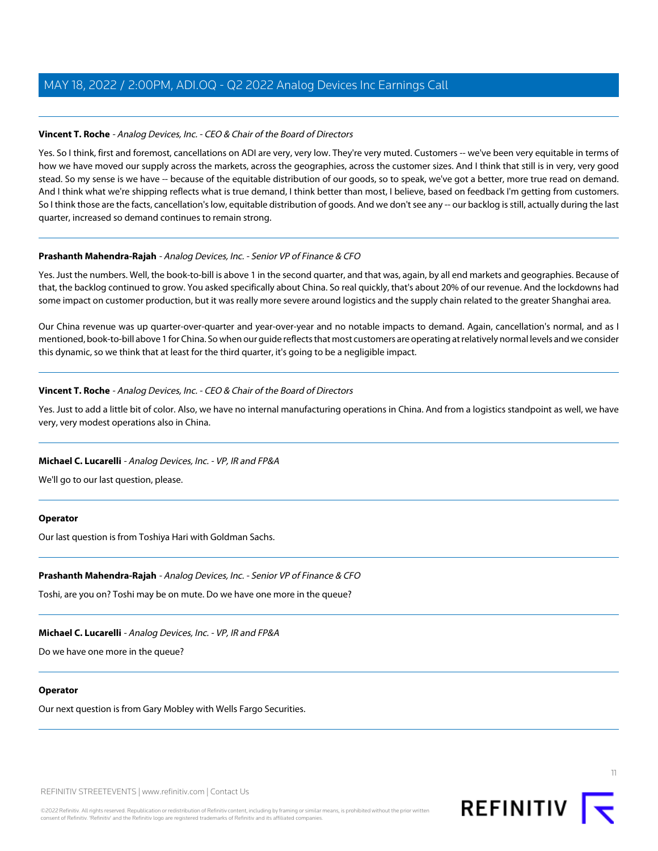### **Vincent T. Roche** - Analog Devices, Inc. - CEO & Chair of the Board of Directors

Yes. So I think, first and foremost, cancellations on ADI are very, very low. They're very muted. Customers -- we've been very equitable in terms of how we have moved our supply across the markets, across the geographies, across the customer sizes. And I think that still is in very, very good stead. So my sense is we have -- because of the equitable distribution of our goods, so to speak, we've got a better, more true read on demand. And I think what we're shipping reflects what is true demand, I think better than most, I believe, based on feedback I'm getting from customers. So I think those are the facts, cancellation's low, equitable distribution of goods. And we don't see any -- our backlog is still, actually during the last quarter, increased so demand continues to remain strong.

### **Prashanth Mahendra-Rajah** - Analog Devices, Inc. - Senior VP of Finance & CFO

Yes. Just the numbers. Well, the book-to-bill is above 1 in the second quarter, and that was, again, by all end markets and geographies. Because of that, the backlog continued to grow. You asked specifically about China. So real quickly, that's about 20% of our revenue. And the lockdowns had some impact on customer production, but it was really more severe around logistics and the supply chain related to the greater Shanghai area.

Our China revenue was up quarter-over-quarter and year-over-year and no notable impacts to demand. Again, cancellation's normal, and as I mentioned, book-to-bill above 1 for China. So when our guide reflects that most customers are operating at relatively normal levels and we consider this dynamic, so we think that at least for the third quarter, it's going to be a negligible impact.

### **Vincent T. Roche** - Analog Devices, Inc. - CEO & Chair of the Board of Directors

Yes. Just to add a little bit of color. Also, we have no internal manufacturing operations in China. And from a logistics standpoint as well, we have very, very modest operations also in China.

### **Michael C. Lucarelli** - Analog Devices, Inc. - VP, IR and FP&A

We'll go to our last question, please.

### **Operator**

Our last question is from Toshiya Hari with Goldman Sachs.

### **Prashanth Mahendra-Rajah** - Analog Devices, Inc. - Senior VP of Finance & CFO

Toshi, are you on? Toshi may be on mute. Do we have one more in the queue?

### **Michael C. Lucarelli** - Analog Devices, Inc. - VP, IR and FP&A

Do we have one more in the queue?

### **Operator**

Our next question is from Gary Mobley with Wells Fargo Securities.